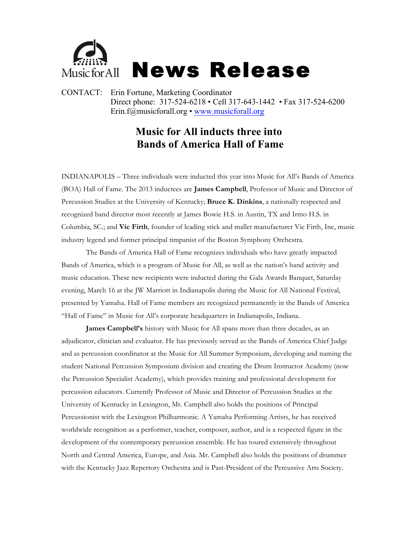

CONTACT: Erin Fortune, Marketing Coordinator Direct phone: 317-524-6218 • Cell 317-643-1442 • Fax 317-524-6200 Erin.f@musicforall.org • www.musicforall.org

## **Music for All inducts three into Bands of America Hall of Fame**

INDIANAPOLIS – Three individuals were inducted this year into Music for All's Bands of America (BOA) Hall of Fame. The 2013 inductees are **James Campbell**, Professor of Music and Director of Percussion Studies at the University of Kentucky; **Bruce K. Dinkins**, a nationally respected and recognized band director most recently at James Bowie H.S. in Austin, TX and Irmo H.S. in Columbia, SC.; and **Vic Firth**, founder of leading stick and mallet manufacturer Vic Firth, Inc, music industry legend and former principal timpanist of the Boston Symphony Orchestra.

The Bands of America Hall of Fame recognizes individuals who have greatly impacted Bands of America, which is a program of Music for All, as well as the nation's band activity and music education. These new recipients were inducted during the Gala Awards Banquet, Saturday evening, March 16 at the JW Marriott in Indianapolis during the Music for All National Festival, presented by Yamaha. Hall of Fame members are recognized permanently in the Bands of America "Hall of Fame" in Music for All's corporate headquarters in Indianapolis, Indiana.

**James Campbell's** history with Music for All spans more than three decades, as an adjudicator, clinician and evaluator. He has previously served as the Bands of America Chief Judge and as percussion coordinator at the Music for All Summer Symposium, developing and naming the student National Percussion Symposium division and creating the Drum Instructor Academy (now the Percussion Specialist Academy), which provides training and professional development for percussion educators. Currently Professor of Music and Director of Percussion Studies at the University of Kentucky in Lexington, Mr. Campbell also holds the positions of Principal Percussionist with the Lexington Philharmonic. A Yamaha Performing Artists, he has received worldwide recognition as a performer, teacher, composer, author, and is a respected figure in the development of the contemporary percussion ensemble. He has toured extensively throughout North and Central America, Europe, and Asia. Mr. Campbell also holds the positions of drummer with the Kentucky Jazz Repertory Orchestra and is Past-President of the Percussive Arts Society.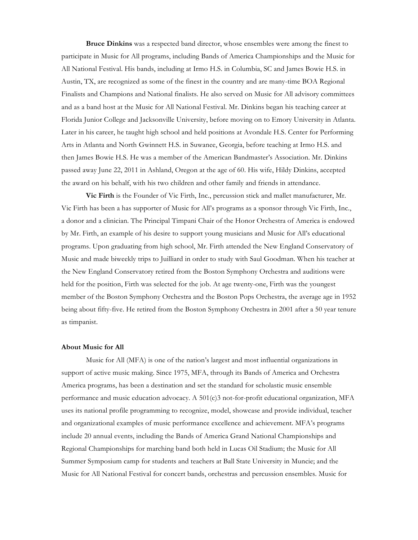**Bruce Dinkins** was a respected band director, whose ensembles were among the finest to participate in Music for All programs, including Bands of America Championships and the Music for All National Festival. His bands, including at Irmo H.S. in Columbia, SC and James Bowie H.S. in Austin, TX, are recognized as some of the finest in the country and are many-time BOA Regional Finalists and Champions and National finalists. He also served on Music for All advisory committees and as a band host at the Music for All National Festival. Mr. Dinkins began his teaching career at Florida Junior College and Jacksonville University, before moving on to Emory University in Atlanta. Later in his career, he taught high school and held positions at Avondale H.S. Center for Performing Arts in Atlanta and North Gwinnett H.S. in Suwanee, Georgia, before teaching at Irmo H.S. and then James Bowie H.S. He was a member of the American Bandmaster's Association. Mr. Dinkins passed away June 22, 2011 in Ashland, Oregon at the age of 60. His wife, Hildy Dinkins, accepted the award on his behalf, with his two children and other family and friends in attendance.

**Vic Firth** is the Founder of Vic Firth, Inc., percussion stick and mallet manufacturer, Mr. Vic Firth has been a has supporter of Music for All's programs as a sponsor through Vic Firth, Inc., a donor and a clinician. The Principal Timpani Chair of the Honor Orchestra of America is endowed by Mr. Firth, an example of his desire to support young musicians and Music for All's educational programs. Upon graduating from high school, Mr. Firth attended the New England Conservatory of Music and made biweekly trips to Juilliard in order to study with Saul Goodman. When his teacher at the New England Conservatory retired from the Boston Symphony Orchestra and auditions were held for the position, Firth was selected for the job. At age twenty-one, Firth was the youngest member of the Boston Symphony Orchestra and the Boston Pops Orchestra, the average age in 1952 being about fifty-five. He retired from the Boston Symphony Orchestra in 2001 after a 50 year tenure as timpanist.

## **About Music for All**

Music for All (MFA) is one of the nation's largest and most influential organizations in support of active music making. Since 1975, MFA, through its Bands of America and Orchestra America programs, has been a destination and set the standard for scholastic music ensemble performance and music education advocacy. A 501(c)3 not-for-profit educational organization, MFA uses its national profile programming to recognize, model, showcase and provide individual, teacher and organizational examples of music performance excellence and achievement. MFA's programs include 20 annual events, including the Bands of America Grand National Championships and Regional Championships for marching band both held in Lucas Oil Stadium; the Music for All Summer Symposium camp for students and teachers at Ball State University in Muncie; and the Music for All National Festival for concert bands, orchestras and percussion ensembles. Music for